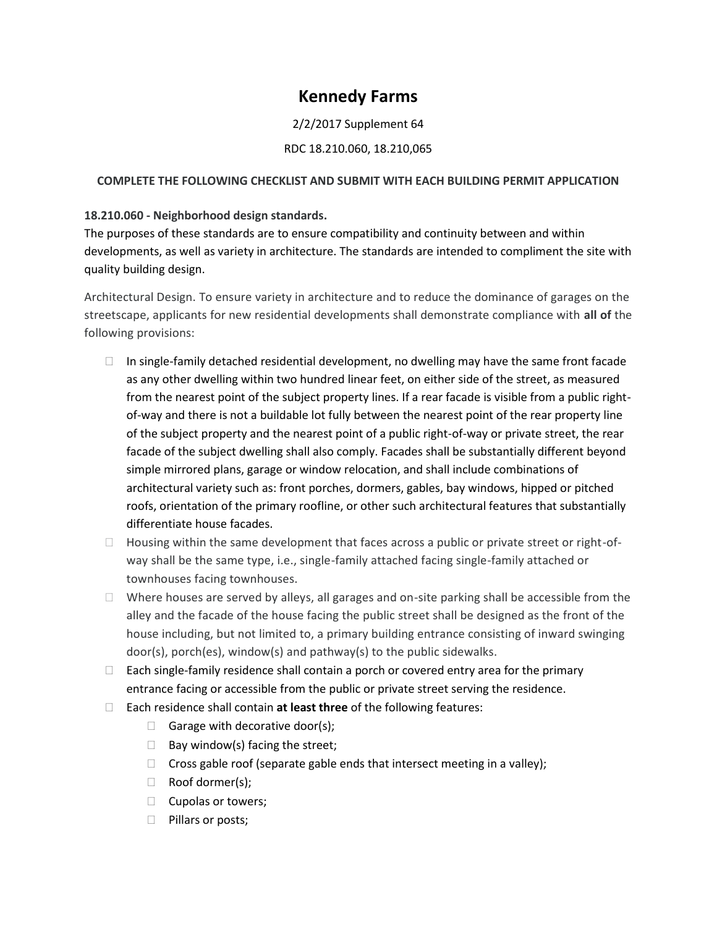# **Kennedy Farms**

## 2/2/2017 Supplement 64

### RDC 18.210.060, 18.210,065

#### **COMPLETE THE FOLLOWING CHECKLIST AND SUBMIT WITH EACH BUILDING PERMIT APPLICATION**

### **18.210.060 - Neighborhood design standards.**

The purposes of these standards are to ensure compatibility and continuity between and within developments, as well as variety in architecture. The standards are intended to compliment the site with quality building design.

Architectural Design. To ensure variety in architecture and to reduce the dominance of garages on the streetscape, applicants for new residential developments shall demonstrate compliance with **all of** the following provisions:

- $\Box$  In single-family detached residential development, no dwelling may have the same front facade as any other dwelling within two hundred linear feet, on either side of the street, as measured from the nearest point of the subject property lines. If a rear facade is visible from a public rightof-way and there is not a buildable lot fully between the nearest point of the rear property line of the subject property and the nearest point of a public right-of-way or private street, the rear facade of the subject dwelling shall also comply. Facades shall be substantially different beyond simple mirrored plans, garage or window relocation, and shall include combinations of architectural variety such as: front porches, dormers, gables, bay windows, hipped or pitched roofs, orientation of the primary roofline, or other such architectural features that substantially differentiate house facades.
- $\Box$  Housing within the same development that faces across a public or private street or right-ofway shall be the same type, i.e., single-family attached facing single-family attached or townhouses facing townhouses.
- $\Box$  Where houses are served by alleys, all garages and on-site parking shall be accessible from the alley and the facade of the house facing the public street shall be designed as the front of the house including, but not limited to, a primary building entrance consisting of inward swinging door(s), porch(es), window(s) and pathway(s) to the public sidewalks.
- $\Box$  Each single-family residence shall contain a porch or covered entry area for the primary entrance facing or accessible from the public or private street serving the residence.
- Each residence shall contain **at least three** of the following features:
	- Garage with decorative door(s);
	- $\Box$  Bay window(s) facing the street;
	- $\Box$  Cross gable roof (separate gable ends that intersect meeting in a valley);
	- Roof dormer(s);
	- $\Box$  Cupolas or towers;
	- $\Box$  Pillars or posts;